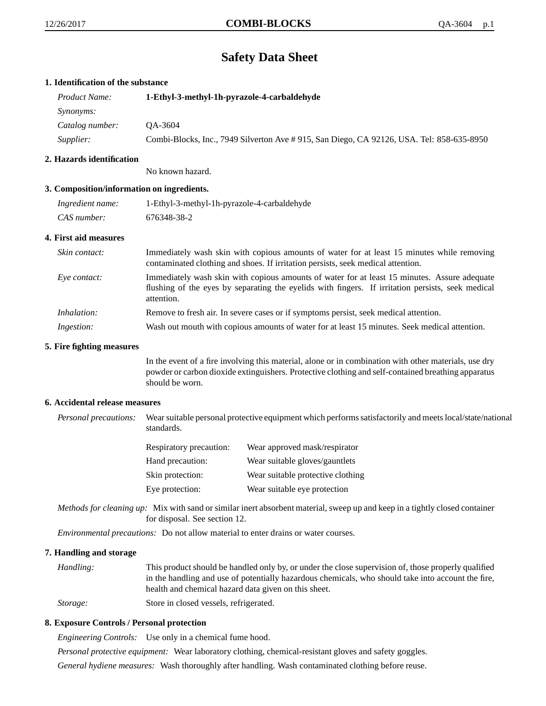# **Safety Data Sheet**

## **1. Identification of the substance**

| <i>Product Name:</i> | 1-Ethyl-3-methyl-1h-pyrazole-4-carbaldehyde                                               |  |
|----------------------|-------------------------------------------------------------------------------------------|--|
| <i>Synonyms:</i>     |                                                                                           |  |
| Catalog number:      | OA-3604                                                                                   |  |
| Supplier:            | Combi-Blocks, Inc., 7949 Silverton Ave # 915, San Diego, CA 92126, USA. Tel: 858-635-8950 |  |

## **2. Hazards identification**

No known hazard.

## **3. Composition/information on ingredients.**

| Ingredient name: | 1-Ethyl-3-methyl-1h-pyrazole-4-carbaldehyde |
|------------------|---------------------------------------------|
| CAS number:      | 676348-38-2                                 |

## **4. First aid measures**

| Skin contact:     | Immediately wash skin with copious amounts of water for at least 15 minutes while removing<br>contaminated clothing and shoes. If irritation persists, seek medical attention.                                  |
|-------------------|-----------------------------------------------------------------------------------------------------------------------------------------------------------------------------------------------------------------|
| Eye contact:      | Immediately wash skin with copious amounts of water for at least 15 minutes. Assure adequate<br>flushing of the eyes by separating the eyelids with fingers. If irritation persists, seek medical<br>attention. |
| Inhalation:       | Remove to fresh air. In severe cases or if symptoms persist, seek medical attention.                                                                                                                            |
| <i>Ingestion:</i> | Wash out mouth with copious amounts of water for at least 15 minutes. Seek medical attention.                                                                                                                   |

## **5. Fire fighting measures**

In the event of a fire involving this material, alone or in combination with other materials, use dry powder or carbon dioxide extinguishers. Protective clothing and self-contained breathing apparatus should be worn.

## **6. Accidental release measures**

*Personal precautions:* Wear suitable personal protective equipment which performs satisfactorily and meets local/state/national standards.

| <b>Respiratory precaution:</b> | Wear approved mask/respirator     |
|--------------------------------|-----------------------------------|
| Hand precaution:               | Wear suitable gloves/gauntlets    |
| Skin protection:               | Wear suitable protective clothing |
| Eye protection:                | Wear suitable eye protection      |

*Methods for cleaning up:* Mix with sand or similar inert absorbent material, sweep up and keep in a tightly closed container for disposal. See section 12.

*Environmental precautions:* Do not allow material to enter drains or water courses.

## **7. Handling and storage**

*Handling:* This product should be handled only by, or under the close supervision of, those properly qualified in the handling and use of potentially hazardous chemicals, who should take into account the fire, health and chemical hazard data given on this sheet. *Storage:* Store in closed vessels, refrigerated.

# **8. Exposure Controls / Personal protection**

*Engineering Controls:* Use only in a chemical fume hood.

*Personal protective equipment:* Wear laboratory clothing, chemical-resistant gloves and safety goggles.

*General hydiene measures:* Wash thoroughly after handling. Wash contaminated clothing before reuse.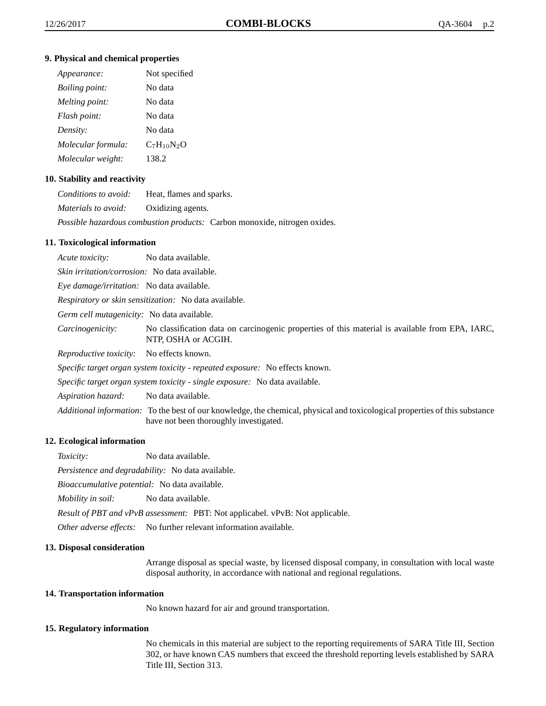## **9. Physical and chemical properties**

| Appearance:           | Not specified   |
|-----------------------|-----------------|
| <i>Boiling point:</i> | No data         |
| Melting point:        | No data         |
| Flash point:          | No data         |
| Density:              | No data         |
| Molecular formula:    | $C_7H_{10}N_2O$ |
| Molecular weight:     | 138.2           |

## **10. Stability and reactivity**

| Conditions to avoid: | Heat, flames and sparks.                                                         |
|----------------------|----------------------------------------------------------------------------------|
| Materials to avoid:  | Oxidizing agents.                                                                |
|                      | <i>Possible hazardous combustion products:</i> Carbon monoxide, nitrogen oxides. |

#### **11. Toxicological information**

*Acute toxicity:* No data available. *Skin irritation/corrosion:* No data available. *Eye damage/irritation:* No data available. *Respiratory or skin sensitization:* No data available. *Germ cell mutagenicity:* No data available. *Carcinogenicity:* No classification data on carcinogenic properties of this material is available from EPA, IARC, NTP, OSHA or ACGIH. *Reproductive toxicity:* No effects known. *Specific target organ system toxicity - repeated exposure:* No effects known. *Specific target organ system toxicity - single exposure:* No data available. *Aspiration hazard:* No data available. *Additional information:* To the best of our knowledge, the chemical, physical and toxicological properties of this substance have not been thoroughly investigated.

#### **12. Ecological information**

*Toxicity:* No data available.

*Persistence and degradability:* No data available.

*Bioaccumulative potential:* No data available.

*Mobility in soil:* No data available.

*Result of PBT and vPvB assessment:* PBT: Not applicabel. vPvB: Not applicable.

*Other adverse effects:* No further relevant information available.

#### **13. Disposal consideration**

Arrange disposal as special waste, by licensed disposal company, in consultation with local waste disposal authority, in accordance with national and regional regulations.

#### **14. Transportation information**

No known hazard for air and ground transportation.

#### **15. Regulatory information**

No chemicals in this material are subject to the reporting requirements of SARA Title III, Section 302, or have known CAS numbers that exceed the threshold reporting levels established by SARA Title III, Section 313.